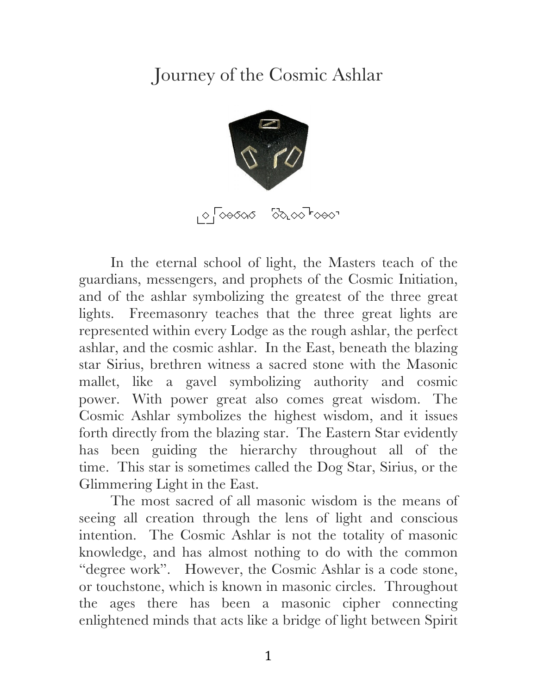## Journey of the Cosmic Ashlar



In the eternal school of light, the Masters teach of the guardians, messengers, and prophets of the Cosmic Initiation, and of the ashlar symbolizing the greatest of the three great lights. Freemasonry teaches that the three great lights are represented within every Lodge as the rough ashlar, the perfect ashlar, and the cosmic ashlar. In the East, beneath the blazing star Sirius, brethren witness a sacred stone with the Masonic mallet, like a gavel symbolizing authority and cosmic power. With power great also comes great wisdom. The Cosmic Ashlar symbolizes the highest wisdom, and it issues forth directly from the blazing star. The Eastern Star evidently has been guiding the hierarchy throughout all of the time. This star is sometimes called the Dog Star, Sirius, or the Glimmering Light in the East.

The most sacred of all masonic wisdom is the means of seeing all creation through the lens of light and conscious intention. The Cosmic Ashlar is not the totality of masonic knowledge, and has almost nothing to do with the common "degree work". However, the Cosmic Ashlar is a code stone, or touchstone, which is known in masonic circles. Throughout the ages there has been a masonic cipher connecting enlightened minds that acts like a bridge of light between Spirit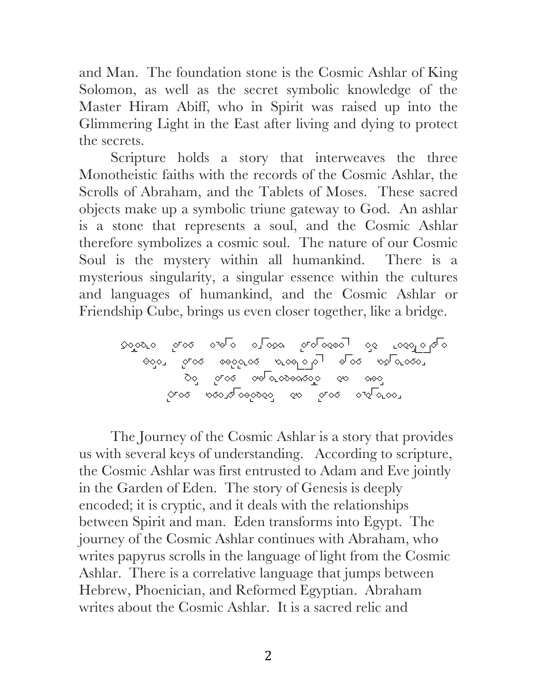and Man. The foundation stone is the Cosmic Ashlar of King Solomon, as well as the secret symbolic knowledge of the Master Hiram Abiff, who in Spirit was raised up into the Glimmering Light in the East after living and dying to protect the secrets.

Scripture holds a story that interweaves the three Monotheistic faiths with the records of the Cosmic Ashlar, the Scrolls of Abraham, and the Tablets of Moses. These sacred objects make up a symbolic triune gateway to God. An ashlar is a stone that represents a soul, and the Cosmic Ashlar therefore symbolizes a cosmic soul. The nature of our Cosmic Soul is the mystery within all humankind. There is a mysterious singularity, a singular essence within the cultures and languages of humankind, and the Cosmic Ashlar or Friendship Cube, brings us even closer together, like a bridge.

Until the war drum throbs no longer And the battle flags are furled In the parliament of man The federation of the world

The Journey of the Cosmic Ashlar is a story that provides us with several keys of understanding. According to scripture, the Cosmic Ashlar was first entrusted to Adam and Eve jointly in the Garden of Eden. The story of Genesis is deeply encoded; it is cryptic, and it deals with the relationships between Spirit and man. Eden transforms into Egypt. The journey of the Cosmic Ashlar continues with Abraham, who writes papyrus scrolls in the language of light from the Cosmic Ashlar. There is a correlative language that jumps between Hebrew, Phoenician, and Reformed Egyptian. Abraham writes about the Cosmic Ashlar. It is a sacred relic and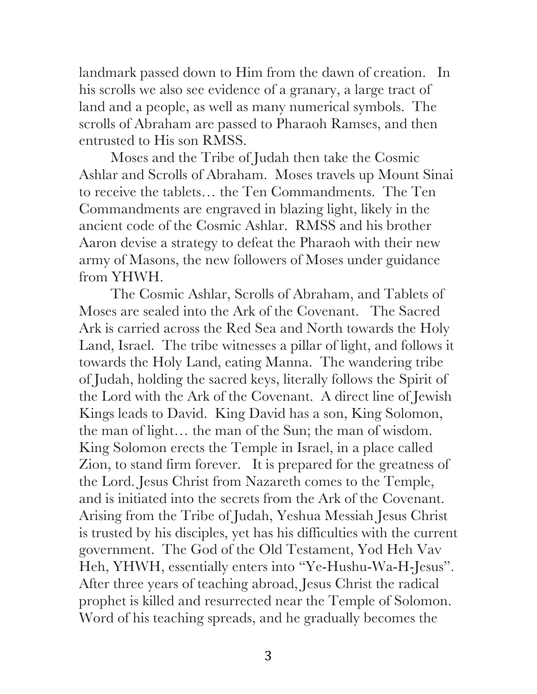landmark passed down to Him from the dawn of creation. In his scrolls we also see evidence of a granary, a large tract of land and a people, as well as many numerical symbols. The scrolls of Abraham are passed to Pharaoh Ramses, and then entrusted to His son RMSS.

Moses and the Tribe of Judah then take the Cosmic Ashlar and Scrolls of Abraham. Moses travels up Mount Sinai to receive the tablets… the Ten Commandments. The Ten Commandments are engraved in blazing light, likely in the ancient code of the Cosmic Ashlar. RMSS and his brother Aaron devise a strategy to defeat the Pharaoh with their new army of Masons, the new followers of Moses under guidance from YHWH.

The Cosmic Ashlar, Scrolls of Abraham, and Tablets of Moses are sealed into the Ark of the Covenant. The Sacred Ark is carried across the Red Sea and North towards the Holy Land, Israel. The tribe witnesses a pillar of light, and follows it towards the Holy Land, eating Manna. The wandering tribe of Judah, holding the sacred keys, literally follows the Spirit of the Lord with the Ark of the Covenant. A direct line of Jewish Kings leads to David. King David has a son, King Solomon, the man of light… the man of the Sun; the man of wisdom. King Solomon erects the Temple in Israel, in a place called Zion, to stand firm forever. It is prepared for the greatness of the Lord. Jesus Christ from Nazareth comes to the Temple, and is initiated into the secrets from the Ark of the Covenant. Arising from the Tribe of Judah, Yeshua Messiah Jesus Christ is trusted by his disciples, yet has his difficulties with the current government. The God of the Old Testament, Yod Heh Vav Heh, YHWH, essentially enters into "Ye-Hushu-Wa-H-Jesus". After three years of teaching abroad, Jesus Christ the radical prophet is killed and resurrected near the Temple of Solomon. Word of his teaching spreads, and he gradually becomes the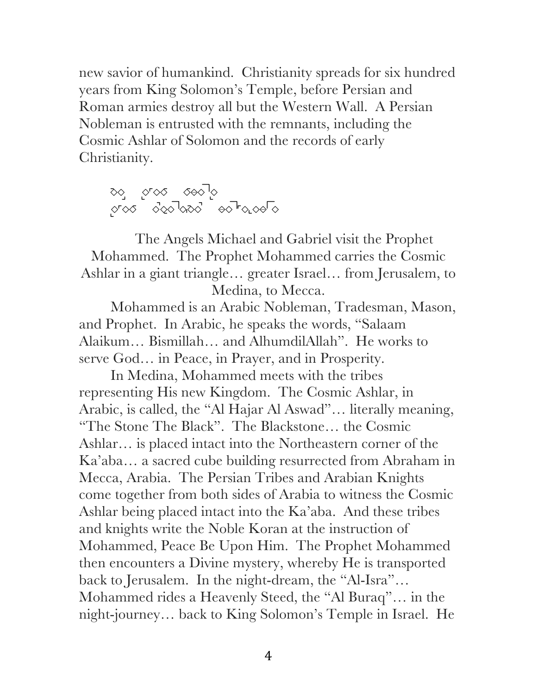new savior of humankind. Christianity spreads for six hundred years from King Solomon's Temple, before Persian and Roman armies destroy all but the Western Wall. A Persian Nobleman is entrusted with the remnants, including the Cosmic Ashlar of Solomon and the records of early Christianity.

যত্ৰ *্ৰতি*য় হ⇔যাত্ৰ OFOQ OQO 'QQO - ⊝O "FQLQ⊝' Q

The Angels Michael and Gabriel visit the Prophet Mohammed. The Prophet Mohammed carries the Cosmic Ashlar in a giant triangle… greater Israel… from Jerusalem, to Medina, to Mecca.

Mohammed is an Arabic Nobleman, Tradesman, Mason, and Prophet. In Arabic, he speaks the words, "Salaam Alaikum… Bismillah… and AlhumdilAllah". He works to serve God… in Peace, in Prayer, and in Prosperity.

In Medina, Mohammed meets with the tribes representing His new Kingdom. The Cosmic Ashlar, in Arabic, is called, the "Al Hajar Al Aswad"… literally meaning, "The Stone The Black". The Blackstone… the Cosmic Ashlar… is placed intact into the Northeastern corner of the Ka'aba… a sacred cube building resurrected from Abraham in Mecca, Arabia. The Persian Tribes and Arabian Knights come together from both sides of Arabia to witness the Cosmic Ashlar being placed intact into the Ka'aba. And these tribes and knights write the Noble Koran at the instruction of Mohammed, Peace Be Upon Him. The Prophet Mohammed then encounters a Divine mystery, whereby He is transported back to Jerusalem. In the night-dream, the "Al-Isra"… Mohammed rides a Heavenly Steed, the "Al Buraq"… in the night-journey… back to King Solomon's Temple in Israel. He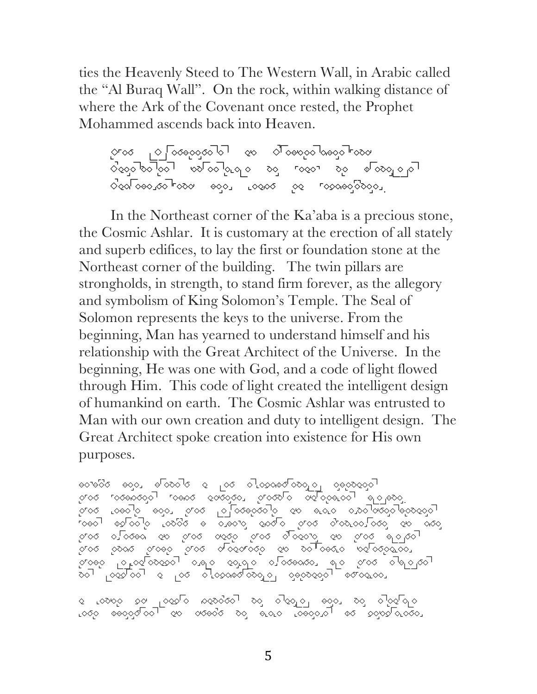ties the Heavenly Steed to The Western Wall, in Arabic called the "Al Buraq Wall". On the rock, within walking distance of where the Ark of the Covenant once rested, the Prophet Mohammed ascends back into Heaven.

The Greatness of Craftsmanship  $\circ$ cols for in how it brings for the second  $\circ$  in  $\circ$   $\circ$   $\circ$  in  $\circ$  in  $\circ$  in  $\circ$  in  $\circ$  in  $\circ$  in  $\circ$  in  $\circ$  in  $\circ$  in  $\circ$  in  $\circ$  in  $\circ$  in  $\circ$  in  $\circ$  in  $\circ$  in  $\circ$  in  $\circ$  in  $\circ$  in  $\circ$  in  $\circ$  i Codroedroen eddi loodel oo roodeddogdi

In the Northeast corner of the Ka'aba is a precious stone, the Cosmic Ashlar. It is customary at the erection of all stately and superb edifices, to lay the first or foundation stone at the Northeast corner of the building. The twin pillars are strongholds, in strength, to stand firm forever, as the allegory and symbolism of King Solomon's Temple. The Seal of Solomon represents the keys to the universe. From the beginning, Man has yearned to understand himself and his relationship with the Great Architect of the Universe. In the beginning, He was one with God, and a code of light flowed through Him. This code of light created the intelligent design of humankind on earth. The Cosmic Ashlar was entrusted to Man with our own creation and duty to intelligent design. The Great Architect spoke creation into existence for His own purposes.

 $\sim$ ମାରେ ୮୦୦୫୦୧୦ରୁରା ୮୦୫୦ରୁ ଉର୍ବର୍ଧିତୀ ଦିଗ୍ରେଷ୍ଟାର ରମ୍ବର୍ଷଣ କାରାକ୍ରମ । The Theories edistributions of all all and all all all all dispensions of all society of  $\alpha$ ାବେଚା ବିବାବିତା ବି ବିବାବି ବିବାବି ବି ବିବାବି ବିବାବି ବିବାବି । ବିବା ି ବାବ୍ତର ବେ ବିବେ ବିବେ ବିବେ ବାବିବେ ବିବାସ କରି ଦା ମାରେ ବିଚୁଟ୍ଟ ବିଚୁଟ୍ଡ ରାଜରେ ରାଜରେ ବିଚାଡ଼ ବିଚାଡ଼ ନିମାରେ ବିଚାଡ଼ିଶାରେ । THAT GLORIOUS DAY ONLY DREAMED BY THE SAGES is Independent of the second of the second indicates.

୧ ⊾୦୭୦଼େ ହଟ <sub>।</sub> ୦୧୪º ନାହେତ୍ତ୍ତ' ଚଟୁ ଚାହଣୁଚ<sub>ା</sub> ୫୦଼େ ଚଟୁ ଚାହଝା ବା LOOO DOOOOOOT OO OOOOO OO OLOOOOOT DO OOOOOOO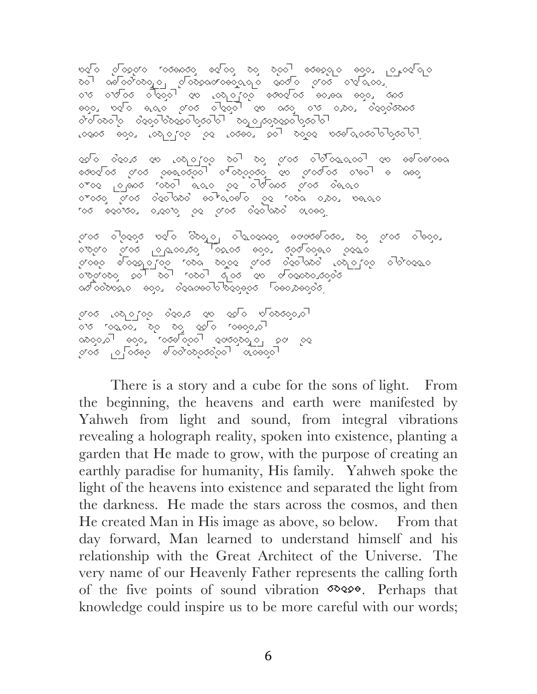দ্ধতি পতিইপত ক্ৰিকত কৰ্মী আৰু বিদ্যালয় স্থানী পতি প্ৰতি প্ৰ ୧୦' ରଡାଚମ୍ଚତରୁଚ<sub>ା</sub> ଟାଚନ୍ତ୍ରଙ୍ଗଡ଼ରୁମ୍ବ ବ୍ରସାଚ ଟୁଚସ ଟାବାର୍ଚ୍ଚ<sub>ା</sub> । ାର ଚାରାଚରା ଚାରିଟିତା ବିଜା ବିଜାବୀ-ଚାରା ବର୍ଷର କରିଟା ହାରରା । AGOI AGO AND GLOQ AGOI QA AGO GLO ADOI QOGQQQOG I ା । ଟା ତତ୍ତ୍ର ବିଧି ମାତା ରାଜ୍ୟ ବିଧି ବିଧି ବିଧି ରାଜ୍ୟ ବିଧି ବିଧାର Loves ess. Loveriss is loves, sol polse peels.coolslope.

OUR CODE OF LIGHT IS IN THE SCROLLS OF ABRAHAM িচ্চত প্ৰতি কাৰ্য আৰু বিজ্ঞান কৰি বিজেপি প্ৰতিষ্ঠা আৰু বিজেপি otoe placo tool alle pe oldooo ptoo dalle otodo prod dedlado edliquelo pe roda dida, belala ৰ উত্তৰত কৰা প্ৰকাৰ বিজ্ঞানিক প্ৰকল্প

ান্ড স্বিতি কৰি জিয়াতী আৰ্তত্তত কৰিছত হয় হিত্য আৰ্ততা ବାବିର୍ବାଚ ବିତ୍ତା <sup>।</sup> ବ<sup>ା</sup>ଫାବବାବ୍ତୀ , ବଟ୍ରମା ବିତ୍ତା ବଟିଙ୍କାଚ । ଚିବଟୀଚ ା ମାଚନ୍ତ । ବାବସେ ବାବଣ ମାନ ବାରୁ ବାର୍ଯ୍ୟ ବାର୍ଯ୍ୟ ବାର୍ଯ୍ୟ ବାରା ସାମାନ ସେ ବାରା ସାମାନ ସାମାନ ସାମାନ ସାମାନ ସାମାନ ସାମାନ ସ WITHIN US TO PROVIDENCE PROVIDENCE PROVIDENCE PROVIDENCE PROVIDENCE PROVIDENCE PRO  $\infty$ pologic And Compassional Company  $\sim$ 

াজ্ঞতাত তাত্ত তত্ত তত্ত তত্ত তত্ত্ব াত দিক্ষেপ কৰি বিদ্যালয়ত Millions And <sup>heart</sup>s opening open Falopad  $\sigma$ 

There is a story and a cube for the sons of light. From the beginning, the heavens and earth were manifested by Yahweh from light and sound, from integral vibrations revealing a holograph reality, spoken into existence, planting a garden that He made to grow, with the purpose of creating an earthly paradise for humanity, His family. Yahweh spoke the light of the heavens into existence and separated the light from the darkness. He made the stars across the cosmos, and then He created Man in His image as above, so below. From that day forward, Man learned to understand himself and his relationship with the Great Architect of the Universe. The very name of our Heavenly Father represents the calling forth of the five points of sound vibration  $\infty$ knowledge could inspire us to be more careful with our words;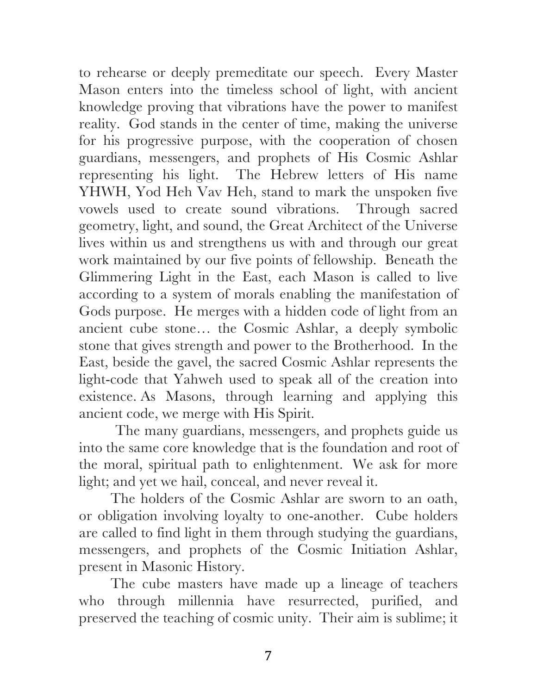to rehearse or deeply premeditate our speech. Every Master Mason enters into the timeless school of light, with ancient knowledge proving that vibrations have the power to manifest reality. God stands in the center of time, making the universe for his progressive purpose, with the cooperation of chosen guardians, messengers, and prophets of His Cosmic Ashlar representing his light. The Hebrew letters of His name YHWH, Yod Heh Vav Heh, stand to mark the unspoken five vowels used to create sound vibrations. Through sacred geometry, light, and sound, the Great Architect of the Universe lives within us and strengthens us with and through our great work maintained by our five points of fellowship. Beneath the Glimmering Light in the East, each Mason is called to live according to a system of morals enabling the manifestation of Gods purpose. He merges with a hidden code of light from an ancient cube stone… the Cosmic Ashlar, a deeply symbolic stone that gives strength and power to the Brotherhood. In the East, beside the gavel, the sacred Cosmic Ashlar represents the light-code that Yahweh used to speak all of the creation into existence. As Masons, through learning and applying this ancient code, we merge with His Spirit.

The many guardians, messengers, and prophets guide us into the same core knowledge that is the foundation and root of the moral, spiritual path to enlightenment. We ask for more light; and yet we hail, conceal, and never reveal it.

The holders of the Cosmic Ashlar are sworn to an oath, or obligation involving loyalty to one-another. Cube holders are called to find light in them through studying the guardians, messengers, and prophets of the Cosmic Initiation Ashlar, present in Masonic History.

The cube masters have made up a lineage of teachers who through millennia have resurrected, purified, and preserved the teaching of cosmic unity. Their aim is sublime; it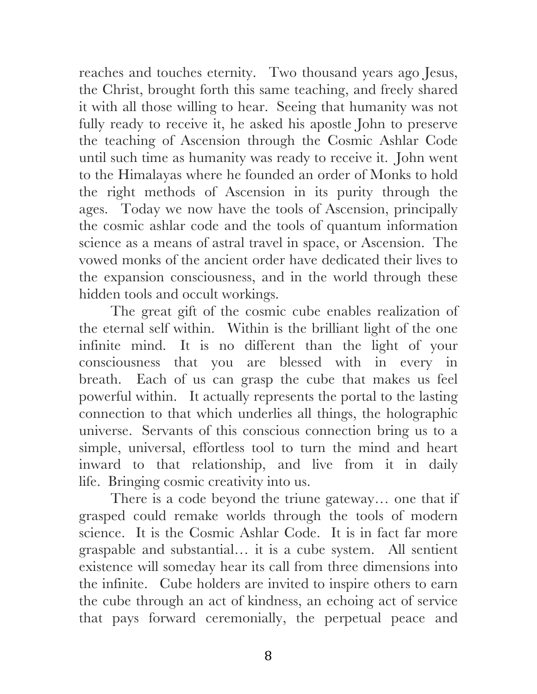reaches and touches eternity. Two thousand years ago Jesus, the Christ, brought forth this same teaching, and freely shared it with all those willing to hear. Seeing that humanity was not fully ready to receive it, he asked his apostle John to preserve the teaching of Ascension through the Cosmic Ashlar Code until such time as humanity was ready to receive it. John went to the Himalayas where he founded an order of Monks to hold the right methods of Ascension in its purity through the ages. Today we now have the tools of Ascension, principally the cosmic ashlar code and the tools of quantum information science as a means of astral travel in space, or Ascension. The vowed monks of the ancient order have dedicated their lives to the expansion consciousness, and in the world through these hidden tools and occult workings.

The great gift of the cosmic cube enables realization of the eternal self within. Within is the brilliant light of the one infinite mind. It is no different than the light of your consciousness that you are blessed with in every in breath. Each of us can grasp the cube that makes us feel powerful within. It actually represents the portal to the lasting connection to that which underlies all things, the holographic universe. Servants of this conscious connection bring us to a simple, universal, effortless tool to turn the mind and heart inward to that relationship, and live from it in daily life. Bringing cosmic creativity into us.

There is a code beyond the triune gateway… one that if grasped could remake worlds through the tools of modern science. It is the Cosmic Ashlar Code. It is in fact far more graspable and substantial… it is a cube system. All sentient existence will someday hear its call from three dimensions into the infinite. Cube holders are invited to inspire others to earn the cube through an act of kindness, an echoing act of service that pays forward ceremonially, the perpetual peace and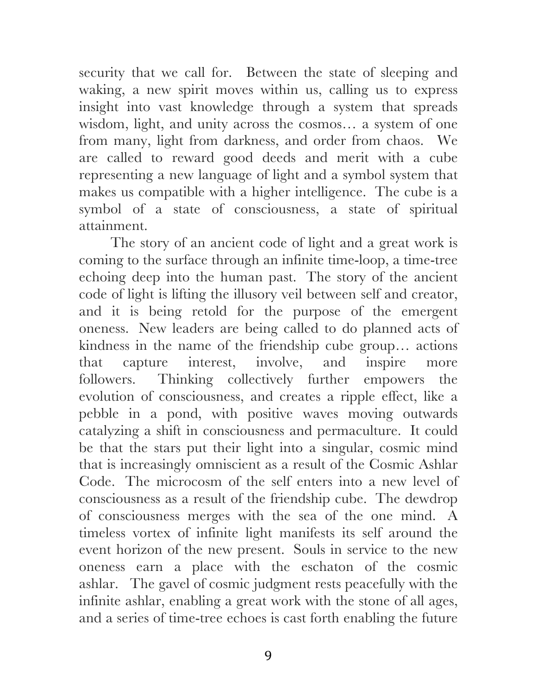security that we call for. Between the state of sleeping and waking, a new spirit moves within us, calling us to express insight into vast knowledge through a system that spreads wisdom, light, and unity across the cosmos… a system of one from many, light from darkness, and order from chaos. We are called to reward good deeds and merit with a cube representing a new language of light and a symbol system that makes us compatible with a higher intelligence. The cube is a symbol of a state of consciousness, a state of spiritual attainment.

The story of an ancient code of light and a great work is coming to the surface through an infinite time-loop, a time-tree echoing deep into the human past. The story of the ancient code of light is lifting the illusory veil between self and creator, and it is being retold for the purpose of the emergent oneness. New leaders are being called to do planned acts of kindness in the name of the friendship cube group… actions that capture interest, involve, and inspire more followers. Thinking collectively further empowers the evolution of consciousness, and creates a ripple effect, like a pebble in a pond, with positive waves moving outwards catalyzing a shift in consciousness and permaculture. It could be that the stars put their light into a singular, cosmic mind that is increasingly omniscient as a result of the Cosmic Ashlar Code. The microcosm of the self enters into a new level of consciousness as a result of the friendship cube. The dewdrop of consciousness merges with the sea of the one mind. A timeless vortex of infinite light manifests its self around the event horizon of the new present. Souls in service to the new oneness earn a place with the eschaton of the cosmic ashlar. The gavel of cosmic judgment rests peacefully with the infinite ashlar, enabling a great work with the stone of all ages, and a series of time-tree echoes is cast forth enabling the future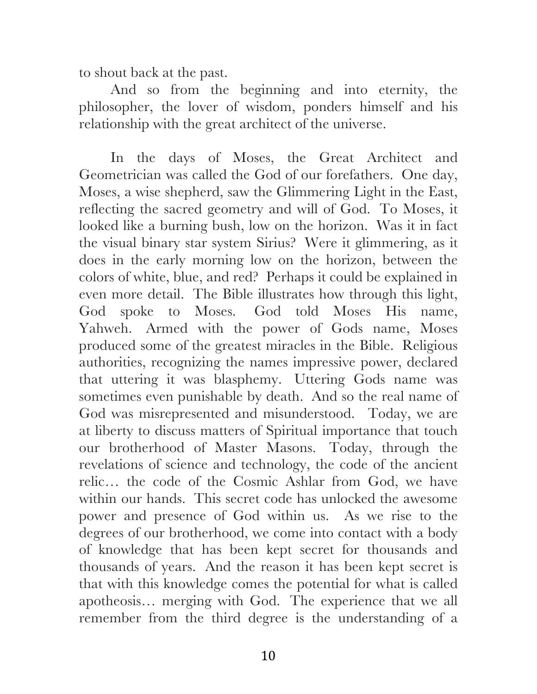to shout back at the past.

And so from the beginning and into eternity, the philosopher, the lover of wisdom, ponders himself and his relationship with the great architect of the universe.

In the days of Moses, the Great Architect and Geometrician was called the God of our forefathers. One day, Moses, a wise shepherd, saw the Glimmering Light in the East, reflecting the sacred geometry and will of God. To Moses, it looked like a burning bush, low on the horizon. Was it in fact the visual binary star system Sirius? Were it glimmering, as it does in the early morning low on the horizon, between the colors of white, blue, and red? Perhaps it could be explained in even more detail. The Bible illustrates how through this light, God spoke to Moses. God told Moses His name, Yahweh. Armed with the power of Gods name, Moses produced some of the greatest miracles in the Bible. Religious authorities, recognizing the names impressive power, declared that uttering it was blasphemy. Uttering Gods name was sometimes even punishable by death. And so the real name of God was misrepresented and misunderstood. Today, we are at liberty to discuss matters of Spiritual importance that touch our brotherhood of Master Masons. Today, through the revelations of science and technology, the code of the ancient relic… the code of the Cosmic Ashlar from God, we have within our hands. This secret code has unlocked the awesome power and presence of God within us. As we rise to the degrees of our brotherhood, we come into contact with a body of knowledge that has been kept secret for thousands and thousands of years. And the reason it has been kept secret is that with this knowledge comes the potential for what is called apotheosis… merging with God. The experience that we all remember from the third degree is the understanding of a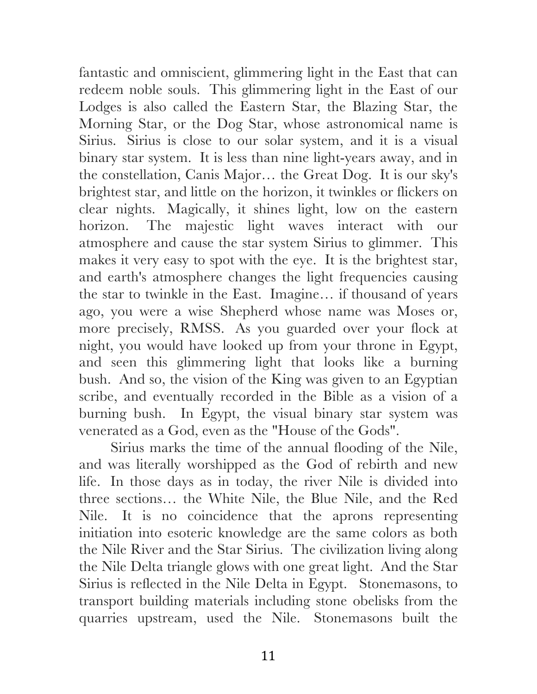fantastic and omniscient, glimmering light in the East that can redeem noble souls. This glimmering light in the East of our Lodges is also called the Eastern Star, the Blazing Star, the Morning Star, or the Dog Star, whose astronomical name is Sirius. Sirius is close to our solar system, and it is a visual binary star system. It is less than nine light-years away, and in the constellation, Canis Major… the Great Dog. It is our sky's brightest star, and little on the horizon, it twinkles or flickers on clear nights. Magically, it shines light, low on the eastern horizon. The majestic light waves interact with our atmosphere and cause the star system Sirius to glimmer. This makes it very easy to spot with the eye. It is the brightest star, and earth's atmosphere changes the light frequencies causing the star to twinkle in the East. Imagine… if thousand of years ago, you were a wise Shepherd whose name was Moses or, more precisely, RMSS. As you guarded over your flock at night, you would have looked up from your throne in Egypt, and seen this glimmering light that looks like a burning bush. And so, the vision of the King was given to an Egyptian scribe, and eventually recorded in the Bible as a vision of a burning bush. In Egypt, the visual binary star system was venerated as a God, even as the "House of the Gods".

Sirius marks the time of the annual flooding of the Nile, and was literally worshipped as the God of rebirth and new life. In those days as in today, the river Nile is divided into three sections… the White Nile, the Blue Nile, and the Red Nile. It is no coincidence that the aprons representing initiation into esoteric knowledge are the same colors as both the Nile River and the Star Sirius. The civilization living along the Nile Delta triangle glows with one great light. And the Star Sirius is reflected in the Nile Delta in Egypt. Stonemasons, to transport building materials including stone obelisks from the quarries upstream, used the Nile. Stonemasons built the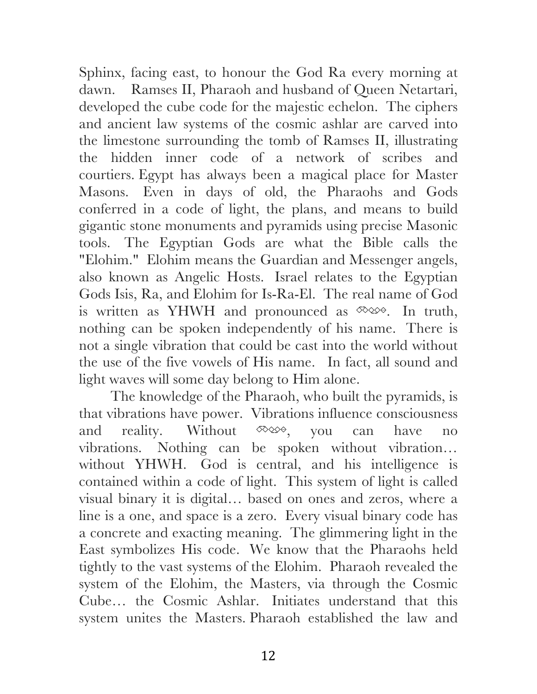Sphinx, facing east, to honour the God Ra every morning at dawn. Ramses II, Pharaoh and husband of Queen Netartari, developed the cube code for the majestic echelon. The ciphers and ancient law systems of the cosmic ashlar are carved into the limestone surrounding the tomb of Ramses II, illustrating the hidden inner code of a network of scribes and courtiers. Egypt has always been a magical place for Master Masons. Even in days of old, the Pharaohs and Gods conferred in a code of light, the plans, and means to build gigantic stone monuments and pyramids using precise Masonic tools. The Egyptian Gods are what the Bible calls the "Elohim." Elohim means the Guardian and Messenger angels, also known as Angelic Hosts. Israel relates to the Egyptian Gods Isis, Ra, and Elohim for Is-Ra-El. The real name of God is written as YHWH and pronounced as  $\infty$ , In truth, nothing can be spoken independently of his name. There is not a single vibration that could be cast into the world without the use of the five vowels of His name. In fact, all sound and light waves will some day belong to Him alone.

The knowledge of the Pharaoh, who built the pyramids, is that vibrations have power. Vibrations influence consciousness and reality. Without  $\infty$ , you can have no vibrations. Nothing can be spoken without vibration… without YHWH. God is central, and his intelligence is contained within a code of light. This system of light is called visual binary it is digital… based on ones and zeros, where a line is a one, and space is a zero. Every visual binary code has a concrete and exacting meaning. The glimmering light in the East symbolizes His code. We know that the Pharaohs held tightly to the vast systems of the Elohim. Pharaoh revealed the system of the Elohim, the Masters, via through the Cosmic Cube… the Cosmic Ashlar. Initiates understand that this system unites the Masters. Pharaoh established the law and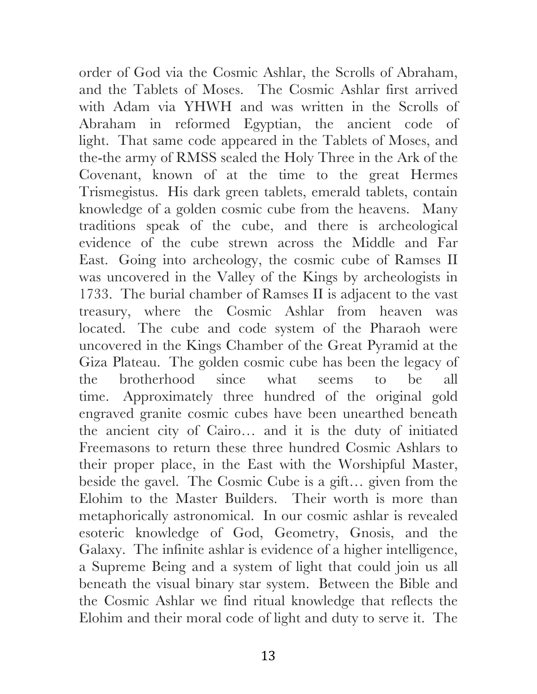order of God via the Cosmic Ashlar, the Scrolls of Abraham, and the Tablets of Moses. The Cosmic Ashlar first arrived with Adam via YHWH and was written in the Scrolls of Abraham in reformed Egyptian, the ancient code of light. That same code appeared in the Tablets of Moses, and the-the army of RMSS sealed the Holy Three in the Ark of the Covenant, known of at the time to the great Hermes Trismegistus. His dark green tablets, emerald tablets, contain knowledge of a golden cosmic cube from the heavens. Many traditions speak of the cube, and there is archeological evidence of the cube strewn across the Middle and Far East. Going into archeology, the cosmic cube of Ramses II was uncovered in the Valley of the Kings by archeologists in 1733. The burial chamber of Ramses II is adjacent to the vast treasury, where the Cosmic Ashlar from heaven was located. The cube and code system of the Pharaoh were uncovered in the Kings Chamber of the Great Pyramid at the Giza Plateau. The golden cosmic cube has been the legacy of the brotherhood since what seems to be all time. Approximately three hundred of the original gold engraved granite cosmic cubes have been unearthed beneath the ancient city of Cairo… and it is the duty of initiated Freemasons to return these three hundred Cosmic Ashlars to their proper place, in the East with the Worshipful Master, beside the gavel. The Cosmic Cube is a gift… given from the Elohim to the Master Builders. Their worth is more than metaphorically astronomical. In our cosmic ashlar is revealed esoteric knowledge of God, Geometry, Gnosis, and the Galaxy. The infinite ashlar is evidence of a higher intelligence, a Supreme Being and a system of light that could join us all beneath the visual binary star system. Between the Bible and the Cosmic Ashlar we find ritual knowledge that reflects the Elohim and their moral code of light and duty to serve it. The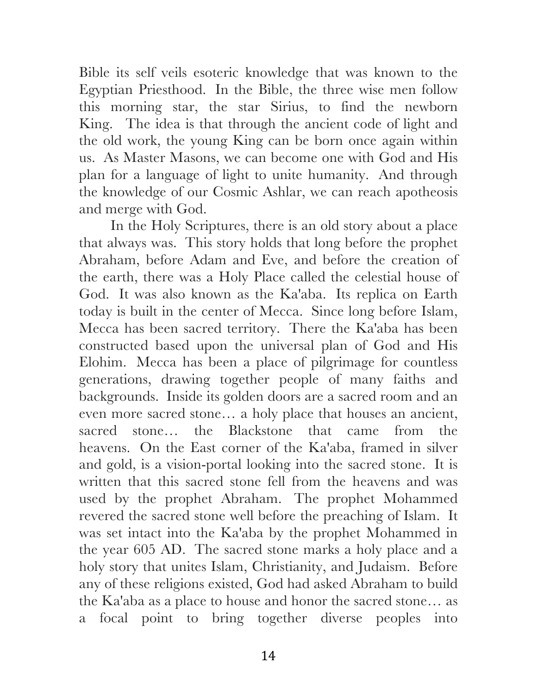Bible its self veils esoteric knowledge that was known to the Egyptian Priesthood. In the Bible, the three wise men follow this morning star, the star Sirius, to find the newborn King. The idea is that through the ancient code of light and the old work, the young King can be born once again within us. As Master Masons, we can become one with God and His plan for a language of light to unite humanity. And through the knowledge of our Cosmic Ashlar, we can reach apotheosis and merge with God.

In the Holy Scriptures, there is an old story about a place that always was. This story holds that long before the prophet Abraham, before Adam and Eve, and before the creation of the earth, there was a Holy Place called the celestial house of God. It was also known as the Ka'aba. Its replica on Earth today is built in the center of Mecca. Since long before Islam, Mecca has been sacred territory. There the Ka'aba has been constructed based upon the universal plan of God and His Elohim. Mecca has been a place of pilgrimage for countless generations, drawing together people of many faiths and backgrounds. Inside its golden doors are a sacred room and an even more sacred stone… a holy place that houses an ancient, sacred stone… the Blackstone that came from the heavens. On the East corner of the Ka'aba, framed in silver and gold, is a vision-portal looking into the sacred stone. It is written that this sacred stone fell from the heavens and was used by the prophet Abraham. The prophet Mohammed revered the sacred stone well before the preaching of Islam. It was set intact into the Ka'aba by the prophet Mohammed in the year 605 AD. The sacred stone marks a holy place and a holy story that unites Islam, Christianity, and Judaism. Before any of these religions existed, God had asked Abraham to build the Ka'aba as a place to house and honor the sacred stone… as a focal point to bring together diverse peoples into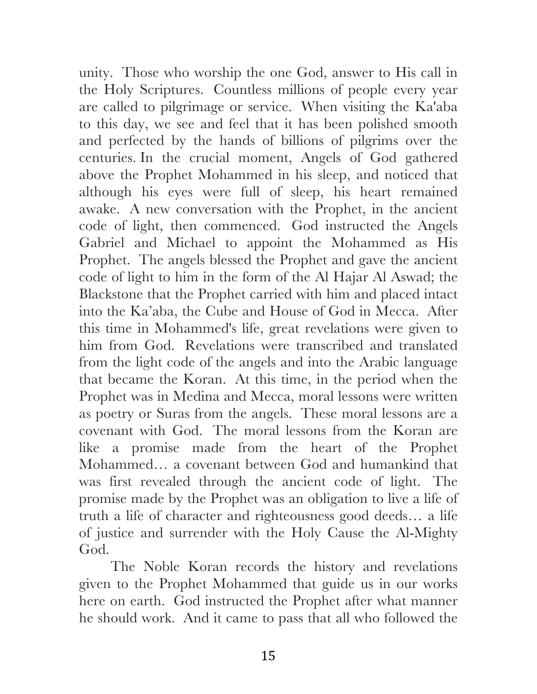unity. Those who worship the one God, answer to His call in the Holy Scriptures. Countless millions of people every year are called to pilgrimage or service. When visiting the Ka'aba to this day, we see and feel that it has been polished smooth and perfected by the hands of billions of pilgrims over the centuries. In the crucial moment, Angels of God gathered above the Prophet Mohammed in his sleep, and noticed that although his eyes were full of sleep, his heart remained awake. A new conversation with the Prophet, in the ancient code of light, then commenced. God instructed the Angels Gabriel and Michael to appoint the Mohammed as His Prophet. The angels blessed the Prophet and gave the ancient code of light to him in the form of the Al Hajar Al Aswad; the Blackstone that the Prophet carried with him and placed intact into the Ka'aba, the Cube and House of God in Mecca. After this time in Mohammed's life, great revelations were given to him from God. Revelations were transcribed and translated from the light code of the angels and into the Arabic language that became the Koran. At this time, in the period when the Prophet was in Medina and Mecca, moral lessons were written as poetry or Suras from the angels. These moral lessons are a covenant with God. The moral lessons from the Koran are like a promise made from the heart of the Prophet Mohammed… a covenant between God and humankind that was first revealed through the ancient code of light. The promise made by the Prophet was an obligation to live a life of truth a life of character and righteousness good deeds… a life of justice and surrender with the Holy Cause the Al-Mighty God.

The Noble Koran records the history and revelations given to the Prophet Mohammed that guide us in our works here on earth. God instructed the Prophet after what manner he should work. And it came to pass that all who followed the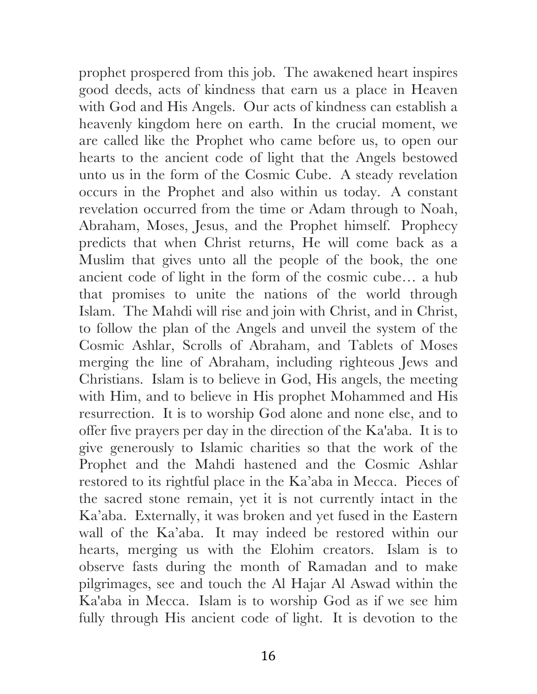prophet prospered from this job. The awakened heart inspires good deeds, acts of kindness that earn us a place in Heaven with God and His Angels. Our acts of kindness can establish a heavenly kingdom here on earth. In the crucial moment, we are called like the Prophet who came before us, to open our hearts to the ancient code of light that the Angels bestowed unto us in the form of the Cosmic Cube. A steady revelation occurs in the Prophet and also within us today. A constant revelation occurred from the time or Adam through to Noah, Abraham, Moses, Jesus, and the Prophet himself. Prophecy predicts that when Christ returns, He will come back as a Muslim that gives unto all the people of the book, the one ancient code of light in the form of the cosmic cube… a hub that promises to unite the nations of the world through Islam. The Mahdi will rise and join with Christ, and in Christ, to follow the plan of the Angels and unveil the system of the Cosmic Ashlar, Scrolls of Abraham, and Tablets of Moses merging the line of Abraham, including righteous Jews and Christians. Islam is to believe in God, His angels, the meeting with Him, and to believe in His prophet Mohammed and His resurrection. It is to worship God alone and none else, and to offer five prayers per day in the direction of the Ka'aba. It is to give generously to Islamic charities so that the work of the Prophet and the Mahdi hastened and the Cosmic Ashlar restored to its rightful place in the Ka'aba in Mecca. Pieces of the sacred stone remain, yet it is not currently intact in the Ka'aba. Externally, it was broken and yet fused in the Eastern wall of the Ka'aba. It may indeed be restored within our hearts, merging us with the Elohim creators. Islam is to observe fasts during the month of Ramadan and to make pilgrimages, see and touch the Al Hajar Al Aswad within the Ka'aba in Mecca. Islam is to worship God as if we see him fully through His ancient code of light. It is devotion to the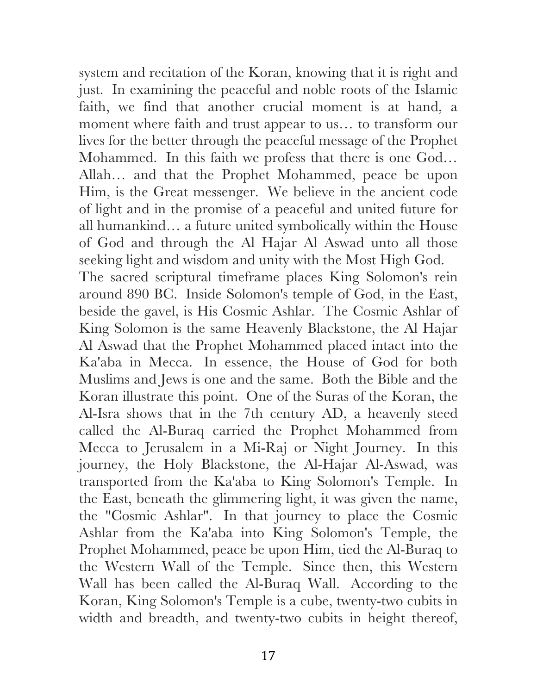system and recitation of the Koran, knowing that it is right and just. In examining the peaceful and noble roots of the Islamic faith, we find that another crucial moment is at hand, a moment where faith and trust appear to us… to transform our lives for the better through the peaceful message of the Prophet Mohammed. In this faith we profess that there is one God… Allah… and that the Prophet Mohammed, peace be upon Him, is the Great messenger. We believe in the ancient code of light and in the promise of a peaceful and united future for all humankind… a future united symbolically within the House of God and through the Al Hajar Al Aswad unto all those seeking light and wisdom and unity with the Most High God. The sacred scriptural timeframe places King Solomon's rein around 890 BC. Inside Solomon's temple of God, in the East, beside the gavel, is His Cosmic Ashlar. The Cosmic Ashlar of King Solomon is the same Heavenly Blackstone, the Al Hajar Al Aswad that the Prophet Mohammed placed intact into the Ka'aba in Mecca. In essence, the House of God for both Muslims and Jews is one and the same. Both the Bible and the Koran illustrate this point. One of the Suras of the Koran, the Al-Isra shows that in the 7th century AD, a heavenly steed called the Al-Buraq carried the Prophet Mohammed from Mecca to Jerusalem in a Mi-Raj or Night Journey. In this journey, the Holy Blackstone, the Al-Hajar Al-Aswad, was transported from the Ka'aba to King Solomon's Temple. In the East, beneath the glimmering light, it was given the name, the "Cosmic Ashlar". In that journey to place the Cosmic Ashlar from the Ka'aba into King Solomon's Temple, the Prophet Mohammed, peace be upon Him, tied the Al-Buraq to the Western Wall of the Temple. Since then, this Western Wall has been called the Al-Buraq Wall. According to the Koran, King Solomon's Temple is a cube, twenty-two cubits in width and breadth, and twenty-two cubits in height thereof,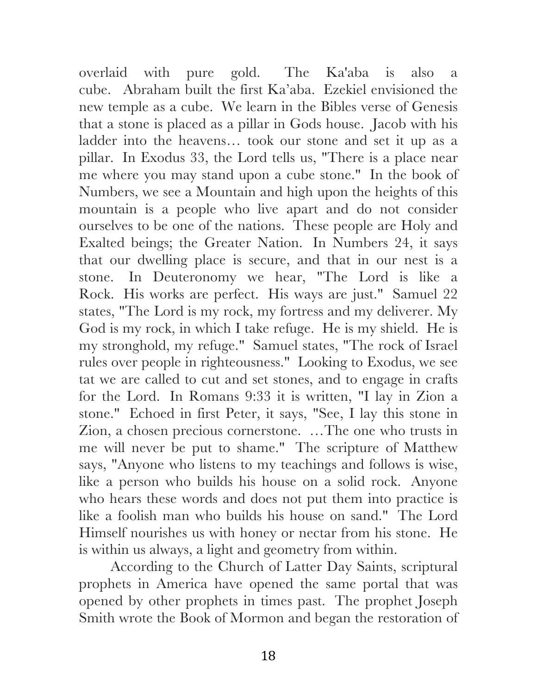overlaid with pure gold. The Ka'aba is also a cube. Abraham built the first Ka'aba. Ezekiel envisioned the new temple as a cube. We learn in the Bibles verse of Genesis that a stone is placed as a pillar in Gods house. Jacob with his ladder into the heavens… took our stone and set it up as a pillar. In Exodus 33, the Lord tells us, "There is a place near me where you may stand upon a cube stone." In the book of Numbers, we see a Mountain and high upon the heights of this mountain is a people who live apart and do not consider ourselves to be one of the nations. These people are Holy and Exalted beings; the Greater Nation. In Numbers 24, it says that our dwelling place is secure, and that in our nest is a stone. In Deuteronomy we hear, "The Lord is like a Rock. His works are perfect. His ways are just." Samuel 22 states, "The Lord is my rock, my fortress and my deliverer. My God is my rock, in which I take refuge. He is my shield. He is my stronghold, my refuge." Samuel states, "The rock of Israel rules over people in righteousness." Looking to Exodus, we see tat we are called to cut and set stones, and to engage in crafts for the Lord. In Romans 9:33 it is written, "I lay in Zion a stone." Echoed in first Peter, it says, "See, I lay this stone in Zion, a chosen precious cornerstone. …The one who trusts in me will never be put to shame." The scripture of Matthew says, "Anyone who listens to my teachings and follows is wise, like a person who builds his house on a solid rock. Anyone who hears these words and does not put them into practice is like a foolish man who builds his house on sand." The Lord Himself nourishes us with honey or nectar from his stone. He is within us always, a light and geometry from within.

According to the Church of Latter Day Saints, scriptural prophets in America have opened the same portal that was opened by other prophets in times past. The prophet Joseph Smith wrote the Book of Mormon and began the restoration of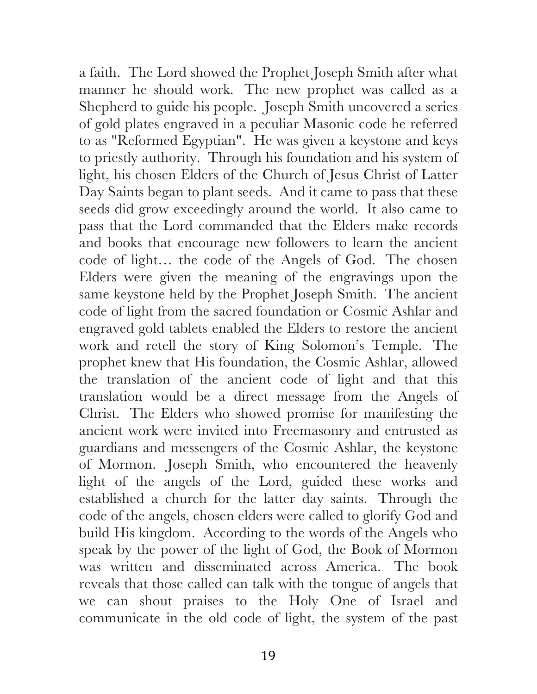a faith. The Lord showed the Prophet Joseph Smith after what manner he should work. The new prophet was called as a Shepherd to guide his people. Joseph Smith uncovered a series of gold plates engraved in a peculiar Masonic code he referred to as "Reformed Egyptian". He was given a keystone and keys to priestly authority. Through his foundation and his system of light, his chosen Elders of the Church of Jesus Christ of Latter Day Saints began to plant seeds. And it came to pass that these seeds did grow exceedingly around the world. It also came to pass that the Lord commanded that the Elders make records and books that encourage new followers to learn the ancient code of light… the code of the Angels of God. The chosen Elders were given the meaning of the engravings upon the same keystone held by the Prophet Joseph Smith. The ancient code of light from the sacred foundation or Cosmic Ashlar and engraved gold tablets enabled the Elders to restore the ancient work and retell the story of King Solomon's Temple. The prophet knew that His foundation, the Cosmic Ashlar, allowed the translation of the ancient code of light and that this translation would be a direct message from the Angels of Christ. The Elders who showed promise for manifesting the ancient work were invited into Freemasonry and entrusted as guardians and messengers of the Cosmic Ashlar, the keystone of Mormon. Joseph Smith, who encountered the heavenly light of the angels of the Lord, guided these works and established a church for the latter day saints. Through the code of the angels, chosen elders were called to glorify God and build His kingdom. According to the words of the Angels who speak by the power of the light of God, the Book of Mormon was written and disseminated across America. The book reveals that those called can talk with the tongue of angels that we can shout praises to the Holy One of Israel and communicate in the old code of light, the system of the past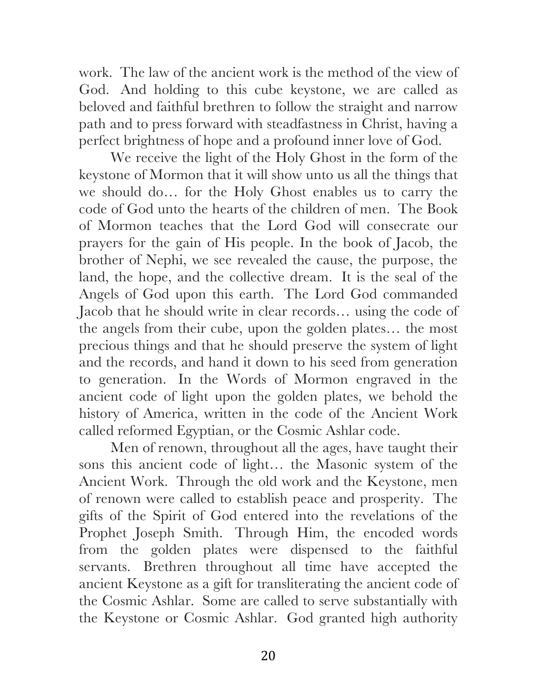work. The law of the ancient work is the method of the view of God. And holding to this cube keystone, we are called as beloved and faithful brethren to follow the straight and narrow path and to press forward with steadfastness in Christ, having a perfect brightness of hope and a profound inner love of God.

We receive the light of the Holy Ghost in the form of the keystone of Mormon that it will show unto us all the things that we should do… for the Holy Ghost enables us to carry the code of God unto the hearts of the children of men. The Book of Mormon teaches that the Lord God will consecrate our prayers for the gain of His people. In the book of Jacob, the brother of Nephi, we see revealed the cause, the purpose, the land, the hope, and the collective dream. It is the seal of the Angels of God upon this earth. The Lord God commanded Jacob that he should write in clear records… using the code of the angels from their cube, upon the golden plates… the most precious things and that he should preserve the system of light and the records, and hand it down to his seed from generation to generation. In the Words of Mormon engraved in the ancient code of light upon the golden plates, we behold the history of America, written in the code of the Ancient Work called reformed Egyptian, or the Cosmic Ashlar code.

Men of renown, throughout all the ages, have taught their sons this ancient code of light… the Masonic system of the Ancient Work. Through the old work and the Keystone, men of renown were called to establish peace and prosperity. The gifts of the Spirit of God entered into the revelations of the Prophet Joseph Smith. Through Him, the encoded words from the golden plates were dispensed to the faithful servants. Brethren throughout all time have accepted the ancient Keystone as a gift for transliterating the ancient code of the Cosmic Ashlar. Some are called to serve substantially with the Keystone or Cosmic Ashlar. God granted high authority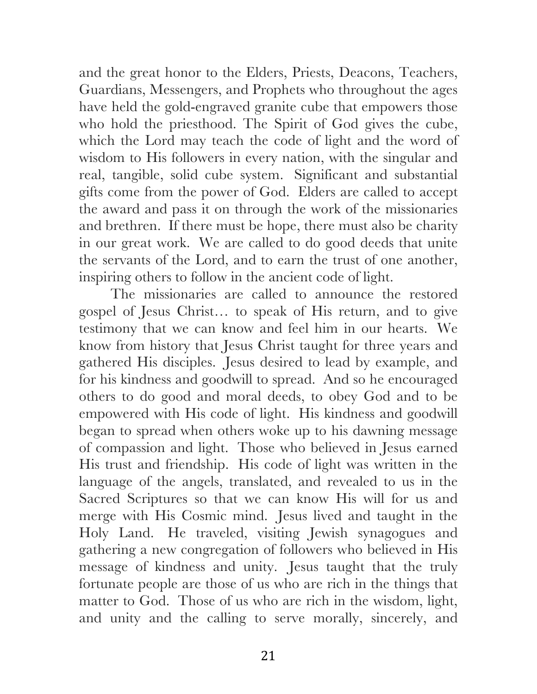and the great honor to the Elders, Priests, Deacons, Teachers, Guardians, Messengers, and Prophets who throughout the ages have held the gold-engraved granite cube that empowers those who hold the priesthood. The Spirit of God gives the cube, which the Lord may teach the code of light and the word of wisdom to His followers in every nation, with the singular and real, tangible, solid cube system. Significant and substantial gifts come from the power of God. Elders are called to accept the award and pass it on through the work of the missionaries and brethren. If there must be hope, there must also be charity in our great work. We are called to do good deeds that unite the servants of the Lord, and to earn the trust of one another, inspiring others to follow in the ancient code of light.

The missionaries are called to announce the restored gospel of Jesus Christ… to speak of His return, and to give testimony that we can know and feel him in our hearts. We know from history that Jesus Christ taught for three years and gathered His disciples. Jesus desired to lead by example, and for his kindness and goodwill to spread. And so he encouraged others to do good and moral deeds, to obey God and to be empowered with His code of light. His kindness and goodwill began to spread when others woke up to his dawning message of compassion and light. Those who believed in Jesus earned His trust and friendship. His code of light was written in the language of the angels, translated, and revealed to us in the Sacred Scriptures so that we can know His will for us and merge with His Cosmic mind. Jesus lived and taught in the Holy Land. He traveled, visiting Jewish synagogues and gathering a new congregation of followers who believed in His message of kindness and unity. Jesus taught that the truly fortunate people are those of us who are rich in the things that matter to God. Those of us who are rich in the wisdom, light, and unity and the calling to serve morally, sincerely, and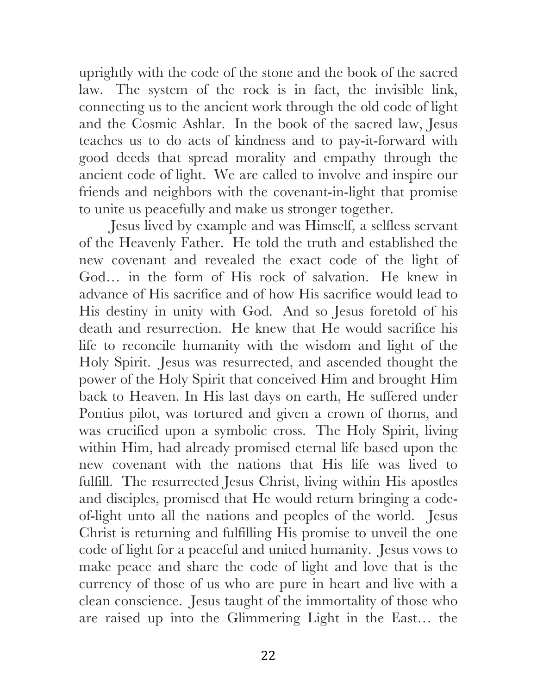uprightly with the code of the stone and the book of the sacred law. The system of the rock is in fact, the invisible link, connecting us to the ancient work through the old code of light and the Cosmic Ashlar. In the book of the sacred law, Jesus teaches us to do acts of kindness and to pay-it-forward with good deeds that spread morality and empathy through the ancient code of light. We are called to involve and inspire our friends and neighbors with the covenant-in-light that promise to unite us peacefully and make us stronger together.

Jesus lived by example and was Himself, a selfless servant of the Heavenly Father. He told the truth and established the new covenant and revealed the exact code of the light of God… in the form of His rock of salvation. He knew in advance of His sacrifice and of how His sacrifice would lead to His destiny in unity with God. And so Jesus foretold of his death and resurrection. He knew that He would sacrifice his life to reconcile humanity with the wisdom and light of the Holy Spirit. Jesus was resurrected, and ascended thought the power of the Holy Spirit that conceived Him and brought Him back to Heaven. In His last days on earth, He suffered under Pontius pilot, was tortured and given a crown of thorns, and was crucified upon a symbolic cross. The Holy Spirit, living within Him, had already promised eternal life based upon the new covenant with the nations that His life was lived to fulfill. The resurrected Jesus Christ, living within His apostles and disciples, promised that He would return bringing a codeof-light unto all the nations and peoples of the world. Jesus Christ is returning and fulfilling His promise to unveil the one code of light for a peaceful and united humanity. Jesus vows to make peace and share the code of light and love that is the currency of those of us who are pure in heart and live with a clean conscience. Jesus taught of the immortality of those who are raised up into the Glimmering Light in the East… the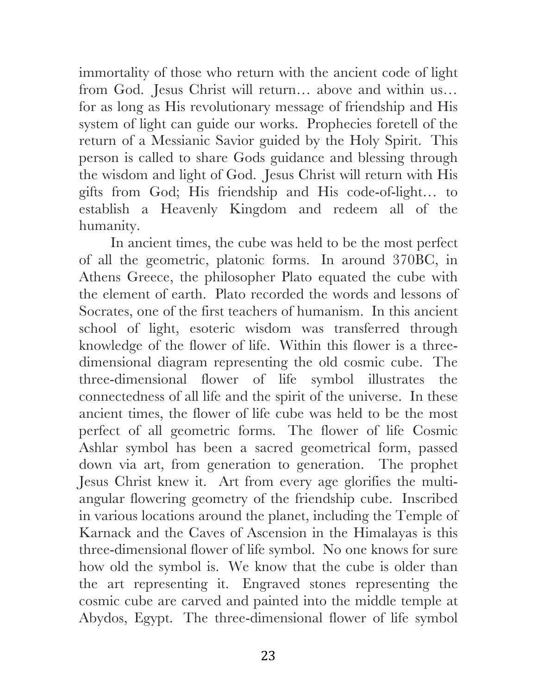immortality of those who return with the ancient code of light from God. Jesus Christ will return… above and within us… for as long as His revolutionary message of friendship and His system of light can guide our works. Prophecies foretell of the return of a Messianic Savior guided by the Holy Spirit. This person is called to share Gods guidance and blessing through the wisdom and light of God. Jesus Christ will return with His gifts from God; His friendship and His code-of-light… to establish a Heavenly Kingdom and redeem all of the humanity.

In ancient times, the cube was held to be the most perfect of all the geometric, platonic forms. In around 370BC, in Athens Greece, the philosopher Plato equated the cube with the element of earth. Plato recorded the words and lessons of Socrates, one of the first teachers of humanism. In this ancient school of light, esoteric wisdom was transferred through knowledge of the flower of life. Within this flower is a threedimensional diagram representing the old cosmic cube. The three-dimensional flower of life symbol illustrates the connectedness of all life and the spirit of the universe. In these ancient times, the flower of life cube was held to be the most perfect of all geometric forms. The flower of life Cosmic Ashlar symbol has been a sacred geometrical form, passed down via art, from generation to generation. The prophet Jesus Christ knew it. Art from every age glorifies the multiangular flowering geometry of the friendship cube. Inscribed in various locations around the planet, including the Temple of Karnack and the Caves of Ascension in the Himalayas is this three-dimensional flower of life symbol. No one knows for sure how old the symbol is. We know that the cube is older than the art representing it. Engraved stones representing the cosmic cube are carved and painted into the middle temple at Abydos, Egypt. The three-dimensional flower of life symbol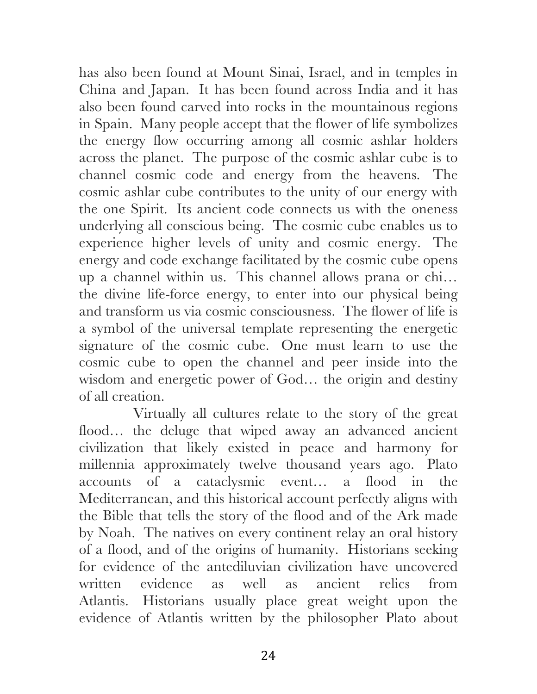has also been found at Mount Sinai, Israel, and in temples in China and Japan. It has been found across India and it has also been found carved into rocks in the mountainous regions in Spain. Many people accept that the flower of life symbolizes the energy flow occurring among all cosmic ashlar holders across the planet. The purpose of the cosmic ashlar cube is to channel cosmic code and energy from the heavens. The cosmic ashlar cube contributes to the unity of our energy with the one Spirit. Its ancient code connects us with the oneness underlying all conscious being. The cosmic cube enables us to experience higher levels of unity and cosmic energy. The energy and code exchange facilitated by the cosmic cube opens up a channel within us. This channel allows prana or chi… the divine life-force energy, to enter into our physical being and transform us via cosmic consciousness. The flower of life is a symbol of the universal template representing the energetic signature of the cosmic cube. One must learn to use the cosmic cube to open the channel and peer inside into the wisdom and energetic power of God… the origin and destiny of all creation.

Virtually all cultures relate to the story of the great flood… the deluge that wiped away an advanced ancient civilization that likely existed in peace and harmony for millennia approximately twelve thousand years ago. Plato accounts of a cataclysmic event… a flood in the Mediterranean, and this historical account perfectly aligns with the Bible that tells the story of the flood and of the Ark made by Noah. The natives on every continent relay an oral history of a flood, and of the origins of humanity. Historians seeking for evidence of the antediluvian civilization have uncovered written evidence as well as ancient relics from Atlantis. Historians usually place great weight upon the evidence of Atlantis written by the philosopher Plato about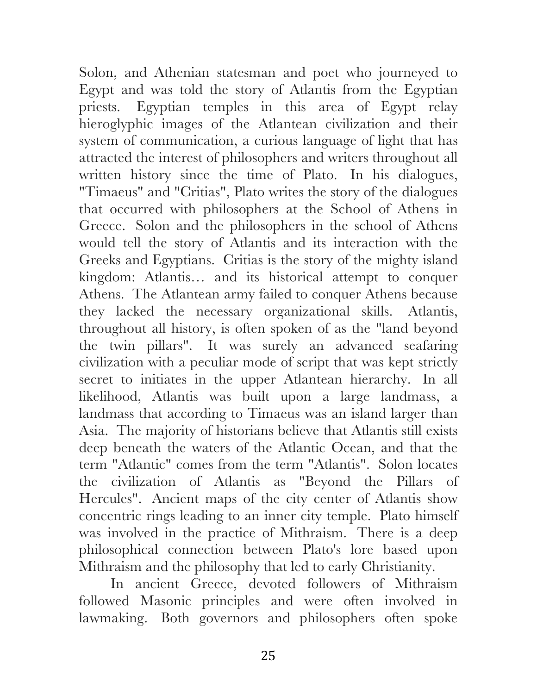Solon, and Athenian statesman and poet who journeyed to Egypt and was told the story of Atlantis from the Egyptian priests. Egyptian temples in this area of Egypt relay hieroglyphic images of the Atlantean civilization and their system of communication, a curious language of light that has attracted the interest of philosophers and writers throughout all written history since the time of Plato. In his dialogues, "Timaeus" and "Critias", Plato writes the story of the dialogues that occurred with philosophers at the School of Athens in Greece. Solon and the philosophers in the school of Athens would tell the story of Atlantis and its interaction with the Greeks and Egyptians. Critias is the story of the mighty island kingdom: Atlantis… and its historical attempt to conquer Athens. The Atlantean army failed to conquer Athens because they lacked the necessary organizational skills. Atlantis, throughout all history, is often spoken of as the "land beyond the twin pillars". It was surely an advanced seafaring civilization with a peculiar mode of script that was kept strictly secret to initiates in the upper Atlantean hierarchy. In all likelihood, Atlantis was built upon a large landmass, a landmass that according to Timaeus was an island larger than Asia. The majority of historians believe that Atlantis still exists deep beneath the waters of the Atlantic Ocean, and that the term "Atlantic" comes from the term "Atlantis". Solon locates the civilization of Atlantis as "Beyond the Pillars of Hercules". Ancient maps of the city center of Atlantis show concentric rings leading to an inner city temple. Plato himself was involved in the practice of Mithraism. There is a deep philosophical connection between Plato's lore based upon Mithraism and the philosophy that led to early Christianity.

In ancient Greece, devoted followers of Mithraism followed Masonic principles and were often involved in lawmaking. Both governors and philosophers often spoke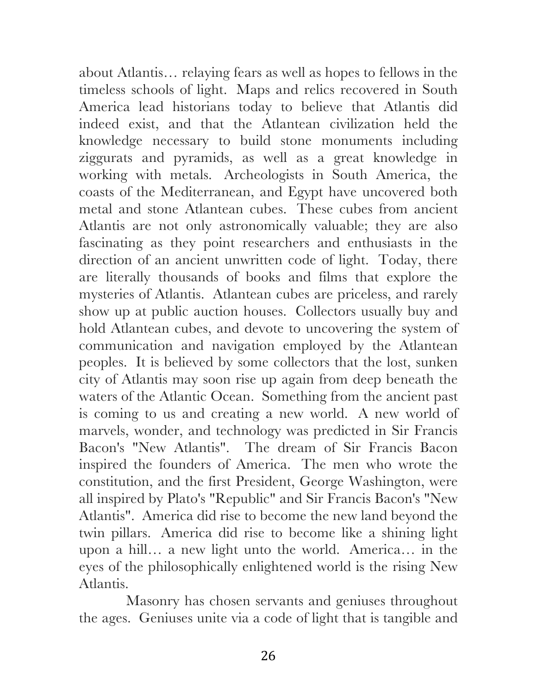about Atlantis… relaying fears as well as hopes to fellows in the timeless schools of light. Maps and relics recovered in South America lead historians today to believe that Atlantis did indeed exist, and that the Atlantean civilization held the knowledge necessary to build stone monuments including ziggurats and pyramids, as well as a great knowledge in working with metals. Archeologists in South America, the coasts of the Mediterranean, and Egypt have uncovered both metal and stone Atlantean cubes. These cubes from ancient Atlantis are not only astronomically valuable; they are also fascinating as they point researchers and enthusiasts in the direction of an ancient unwritten code of light. Today, there are literally thousands of books and films that explore the mysteries of Atlantis. Atlantean cubes are priceless, and rarely show up at public auction houses. Collectors usually buy and hold Atlantean cubes, and devote to uncovering the system of communication and navigation employed by the Atlantean peoples. It is believed by some collectors that the lost, sunken city of Atlantis may soon rise up again from deep beneath the waters of the Atlantic Ocean. Something from the ancient past is coming to us and creating a new world. A new world of marvels, wonder, and technology was predicted in Sir Francis Bacon's "New Atlantis". The dream of Sir Francis Bacon inspired the founders of America. The men who wrote the constitution, and the first President, George Washington, were all inspired by Plato's "Republic" and Sir Francis Bacon's "New Atlantis". America did rise to become the new land beyond the twin pillars. America did rise to become like a shining light upon a hill… a new light unto the world. America… in the eyes of the philosophically enlightened world is the rising New Atlantis.

Masonry has chosen servants and geniuses throughout the ages. Geniuses unite via a code of light that is tangible and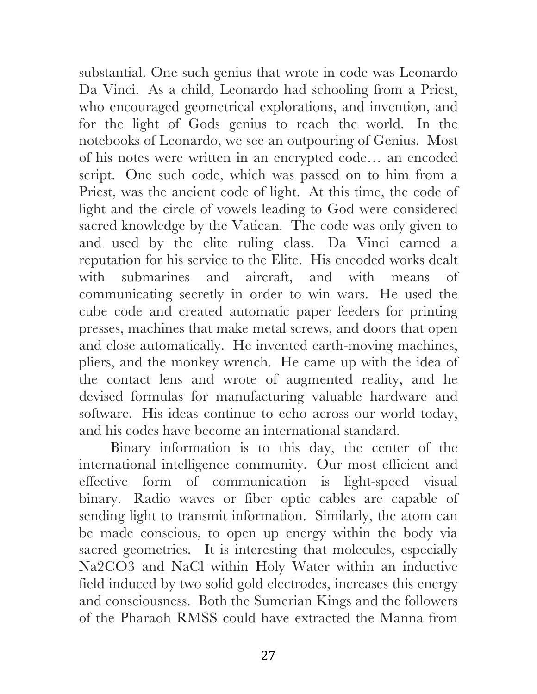substantial. One such genius that wrote in code was Leonardo Da Vinci. As a child, Leonardo had schooling from a Priest, who encouraged geometrical explorations, and invention, and for the light of Gods genius to reach the world. In the notebooks of Leonardo, we see an outpouring of Genius. Most of his notes were written in an encrypted code… an encoded script. One such code, which was passed on to him from a Priest, was the ancient code of light. At this time, the code of light and the circle of vowels leading to God were considered sacred knowledge by the Vatican. The code was only given to and used by the elite ruling class. Da Vinci earned a reputation for his service to the Elite. His encoded works dealt with submarines and aircraft, and with means of communicating secretly in order to win wars. He used the cube code and created automatic paper feeders for printing presses, machines that make metal screws, and doors that open and close automatically. He invented earth-moving machines, pliers, and the monkey wrench. He came up with the idea of the contact lens and wrote of augmented reality, and he devised formulas for manufacturing valuable hardware and software. His ideas continue to echo across our world today, and his codes have become an international standard.

Binary information is to this day, the center of the international intelligence community. Our most efficient and effective form of communication is light-speed visual binary. Radio waves or fiber optic cables are capable of sending light to transmit information. Similarly, the atom can be made conscious, to open up energy within the body via sacred geometries. It is interesting that molecules, especially Na2CO3 and NaCl within Holy Water within an inductive field induced by two solid gold electrodes, increases this energy and consciousness. Both the Sumerian Kings and the followers of the Pharaoh RMSS could have extracted the Manna from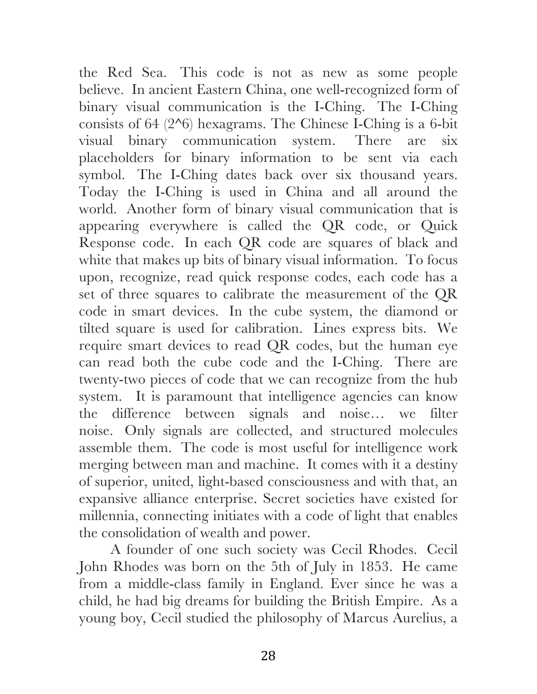the Red Sea. This code is not as new as some people believe. In ancient Eastern China, one well-recognized form of binary visual communication is the I-Ching. The I-Ching consists of 64 (2^6) hexagrams. The Chinese I-Ching is a 6-bit visual binary communication system. There are six placeholders for binary information to be sent via each symbol. The I-Ching dates back over six thousand years. Today the I-Ching is used in China and all around the world. Another form of binary visual communication that is appearing everywhere is called the QR code, or Quick Response code. In each QR code are squares of black and white that makes up bits of binary visual information. To focus upon, recognize, read quick response codes, each code has a set of three squares to calibrate the measurement of the QR code in smart devices. In the cube system, the diamond or tilted square is used for calibration. Lines express bits. We require smart devices to read QR codes, but the human eye can read both the cube code and the I-Ching. There are twenty-two pieces of code that we can recognize from the hub system. It is paramount that intelligence agencies can know the difference between signals and noise… we filter noise. Only signals are collected, and structured molecules assemble them. The code is most useful for intelligence work merging between man and machine. It comes with it a destiny of superior, united, light-based consciousness and with that, an expansive alliance enterprise. Secret societies have existed for millennia, connecting initiates with a code of light that enables the consolidation of wealth and power.

A founder of one such society was Cecil Rhodes. Cecil John Rhodes was born on the 5th of July in 1853. He came from a middle-class family in England. Ever since he was a child, he had big dreams for building the British Empire. As a young boy, Cecil studied the philosophy of Marcus Aurelius, a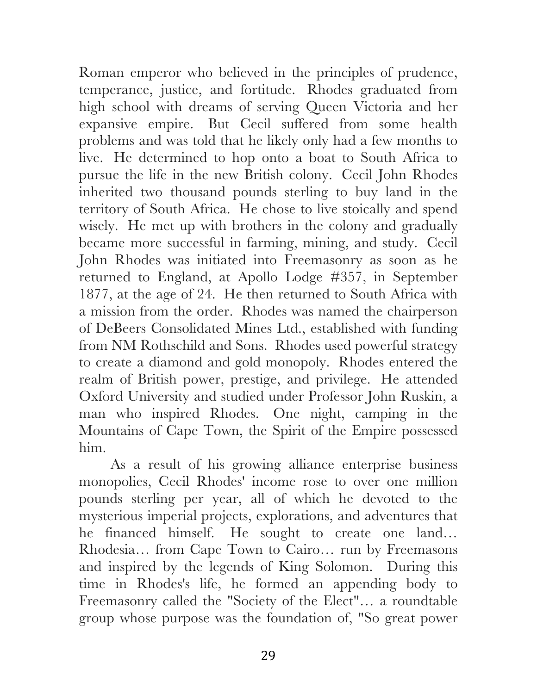Roman emperor who believed in the principles of prudence, temperance, justice, and fortitude. Rhodes graduated from high school with dreams of serving Queen Victoria and her expansive empire. But Cecil suffered from some health problems and was told that he likely only had a few months to live. He determined to hop onto a boat to South Africa to pursue the life in the new British colony. Cecil John Rhodes inherited two thousand pounds sterling to buy land in the territory of South Africa. He chose to live stoically and spend wisely. He met up with brothers in the colony and gradually became more successful in farming, mining, and study. Cecil John Rhodes was initiated into Freemasonry as soon as he returned to England, at Apollo Lodge #357, in September 1877, at the age of 24. He then returned to South Africa with a mission from the order. Rhodes was named the chairperson of DeBeers Consolidated Mines Ltd., established with funding from NM Rothschild and Sons. Rhodes used powerful strategy to create a diamond and gold monopoly. Rhodes entered the realm of British power, prestige, and privilege. He attended Oxford University and studied under Professor John Ruskin, a man who inspired Rhodes. One night, camping in the Mountains of Cape Town, the Spirit of the Empire possessed him.

As a result of his growing alliance enterprise business monopolies, Cecil Rhodes' income rose to over one million pounds sterling per year, all of which he devoted to the mysterious imperial projects, explorations, and adventures that he financed himself. He sought to create one land… Rhodesia… from Cape Town to Cairo… run by Freemasons and inspired by the legends of King Solomon. During this time in Rhodes's life, he formed an appending body to Freemasonry called the "Society of the Elect"… a roundtable group whose purpose was the foundation of, "So great power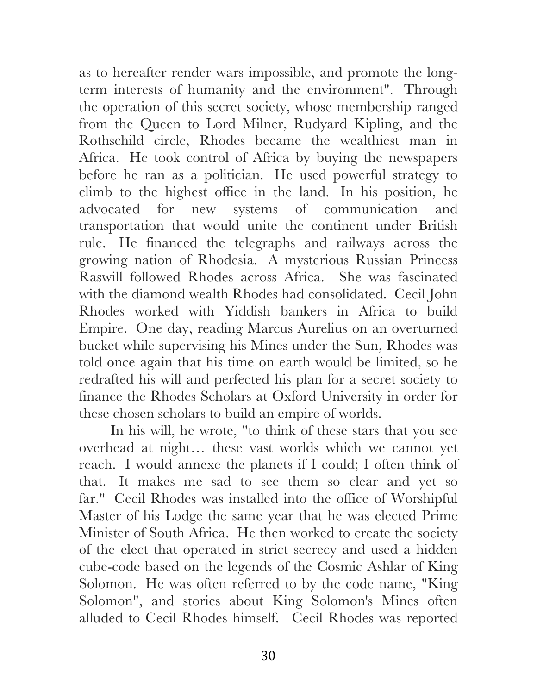as to hereafter render wars impossible, and promote the longterm interests of humanity and the environment". Through the operation of this secret society, whose membership ranged from the Queen to Lord Milner, Rudyard Kipling, and the Rothschild circle, Rhodes became the wealthiest man in Africa. He took control of Africa by buying the newspapers before he ran as a politician. He used powerful strategy to climb to the highest office in the land. In his position, he advocated for new systems of communication and transportation that would unite the continent under British rule. He financed the telegraphs and railways across the growing nation of Rhodesia. A mysterious Russian Princess Raswill followed Rhodes across Africa. She was fascinated with the diamond wealth Rhodes had consolidated. Cecil John Rhodes worked with Yiddish bankers in Africa to build Empire. One day, reading Marcus Aurelius on an overturned bucket while supervising his Mines under the Sun, Rhodes was told once again that his time on earth would be limited, so he redrafted his will and perfected his plan for a secret society to finance the Rhodes Scholars at Oxford University in order for these chosen scholars to build an empire of worlds.

In his will, he wrote, "to think of these stars that you see overhead at night… these vast worlds which we cannot yet reach. I would annexe the planets if I could; I often think of that. It makes me sad to see them so clear and yet so far." Cecil Rhodes was installed into the office of Worshipful Master of his Lodge the same year that he was elected Prime Minister of South Africa. He then worked to create the society of the elect that operated in strict secrecy and used a hidden cube-code based on the legends of the Cosmic Ashlar of King Solomon. He was often referred to by the code name, "King Solomon", and stories about King Solomon's Mines often alluded to Cecil Rhodes himself. Cecil Rhodes was reported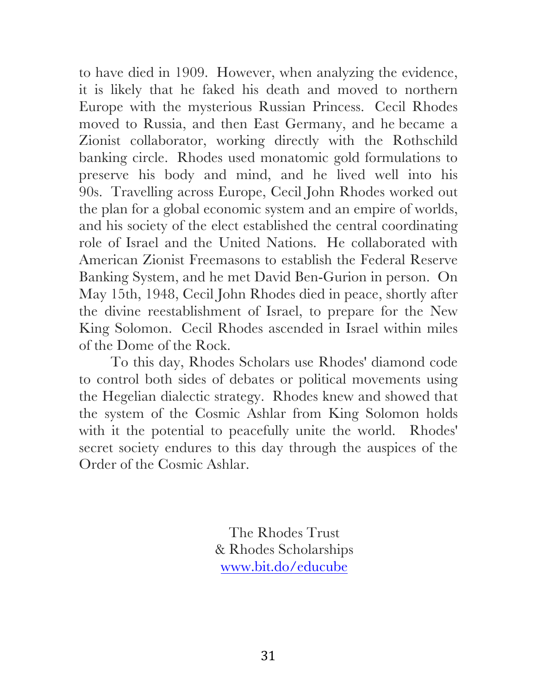to have died in 1909. However, when analyzing the evidence, it is likely that he faked his death and moved to northern Europe with the mysterious Russian Princess. Cecil Rhodes moved to Russia, and then East Germany, and he became a Zionist collaborator, working directly with the Rothschild banking circle. Rhodes used monatomic gold formulations to preserve his body and mind, and he lived well into his 90s. Travelling across Europe, Cecil John Rhodes worked out the plan for a global economic system and an empire of worlds, and his society of the elect established the central coordinating role of Israel and the United Nations. He collaborated with American Zionist Freemasons to establish the Federal Reserve Banking System, and he met David Ben-Gurion in person. On May 15th, 1948, Cecil John Rhodes died in peace, shortly after the divine reestablishment of Israel, to prepare for the New King Solomon. Cecil Rhodes ascended in Israel within miles of the Dome of the Rock.

To this day, Rhodes Scholars use Rhodes' diamond code to control both sides of debates or political movements using the Hegelian dialectic strategy. Rhodes knew and showed that the system of the Cosmic Ashlar from King Solomon holds with it the potential to peacefully unite the world. Rhodes' secret society endures to this day through the auspices of the Order of the Cosmic Ashlar.

> The Rhodes Trust & Rhodes Scholarships www.bit.do/educube